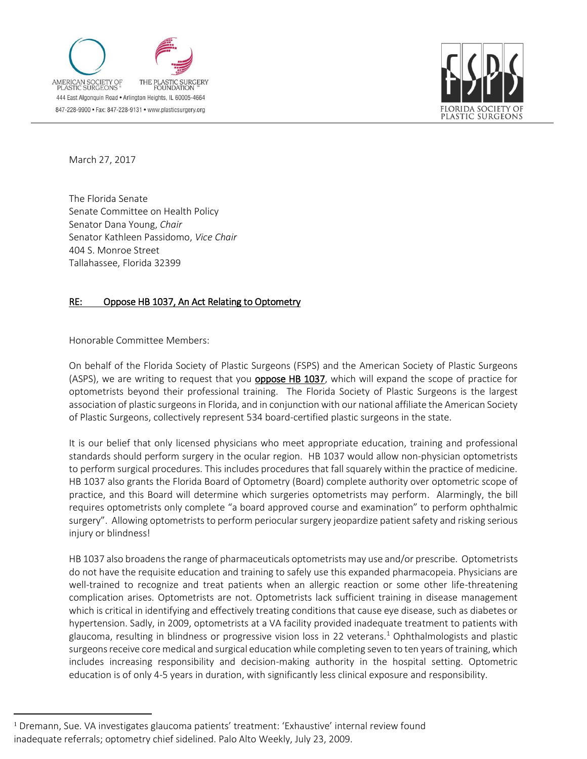



March 27, 2017

 $\overline{a}$ 

The Florida Senate Senate Committee on Health Policy Senator Dana Young, *Chair* Senator Kathleen Passidomo, *Vice Chair* 404 S. Monroe Street Tallahassee, Florida 32399

## RE: Oppose HB 1037, An Act Relating to Optometry

Honorable Committee Members:

On behalf of the Florida Society of Plastic Surgeons (FSPS) and the American Society of Plastic Surgeons (ASPS), we are writing to request that you **oppose HB 1037**, which will expand the scope of practice for optometrists beyond their professional training. The Florida Society of Plastic Surgeons is the largest association of plastic surgeons in Florida, and in conjunction with our national affiliate the American Society of Plastic Surgeons, collectively represent 534 board-certified plastic surgeons in the state.

It is our belief that only licensed physicians who meet appropriate education, training and professional standards should perform surgery in the ocular region. HB 1037 would allow non-physician optometrists to perform surgical procedures. This includes procedures that fall squarely within the practice of medicine. HB 1037 also grants the Florida Board of Optometry (Board) complete authority over optometric scope of practice, and this Board will determine which surgeries optometrists may perform. Alarmingly, the bill requires optometrists only complete "a board approved course and examination" to perform ophthalmic surgery". Allowing optometrists to perform periocular surgery jeopardize patient safety and risking serious injury or blindness!

HB 1037 also broadens the range of pharmaceuticals optometrists may use and/or prescribe. Optometrists do not have the requisite education and training to safely use this expanded pharmacopeia. Physicians are well-trained to recognize and treat patients when an allergic reaction or some other life-threatening complication arises. Optometrists are not. Optometrists lack sufficient training in disease management which is critical in identifying and effectively treating conditions that cause eye disease, such as diabetes or hypertension. Sadly, in 2009, optometrists at a VA facility provided inadequate treatment to patients with glaucoma, resulting in blindness or progressive vision loss in 22 veterans.<sup>1</sup> Ophthalmologists and plastic surgeons receive core medical and surgical education while completing seven to ten years of training, which includes increasing responsibility and decision-making authority in the hospital setting. Optometric education is of only 4-5 years in duration, with significantly less clinical exposure and responsibility.

<sup>&</sup>lt;sup>1</sup> Dremann, Sue. VA investigates glaucoma patients' treatment: 'Exhaustive' internal review found inadequate referrals; optometry chief sidelined. Palo Alto Weekly, July 23, 2009.